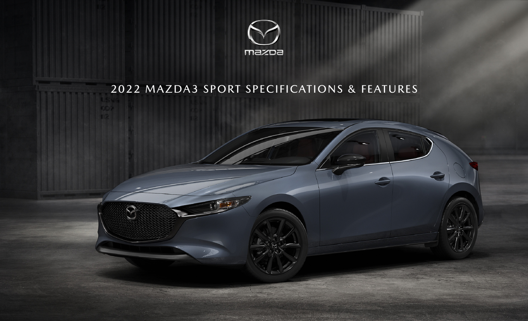

# 2022 MAZDA3 SPORT SPECIFICATIONS & FEATURES

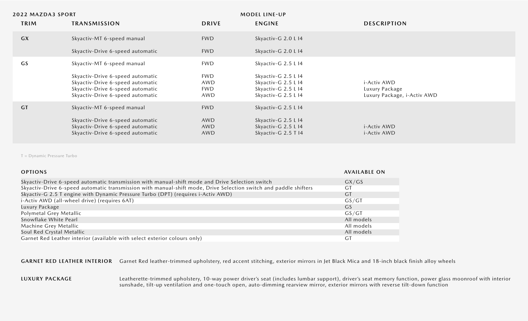| <b>2022 MAZDA3 SPORT</b> |                                                                                                                                              |                                        | <b>MODEL LINE-UP</b>                                                                     |                                                              |
|--------------------------|----------------------------------------------------------------------------------------------------------------------------------------------|----------------------------------------|------------------------------------------------------------------------------------------|--------------------------------------------------------------|
| <b>TRIM</b>              | <b>TRANSMISSION</b>                                                                                                                          | <b>DRIVE</b>                           | <b>ENGINE</b>                                                                            | <b>DESCRIPTION</b>                                           |
| <b>GX</b>                | Skyactiv-MT 6-speed manual                                                                                                                   | <b>FWD</b>                             | Skyactiv-G 2.0 L I4                                                                      |                                                              |
|                          | Skyactiv-Drive 6-speed automatic                                                                                                             | <b>FWD</b>                             | Skyactiv-G 2.0 L I4                                                                      |                                                              |
| GS                       | Skyactiv-MT 6-speed manual                                                                                                                   | <b>FWD</b>                             | Skyactiv-G 2.5 L I4                                                                      |                                                              |
|                          | Skyactiv-Drive 6-speed automatic<br>Skyactiv-Drive 6-speed automatic<br>Skyactiv-Drive 6-speed automatic<br>Skyactiv-Drive 6-speed automatic | <b>FWD</b><br>AWD<br><b>FWD</b><br>AWD | Skyactiv-G 2.5 L I4<br>Skyactiv-G 2.5 L I4<br>Skyactiv-G 2.5 L I4<br>Skyactiv-G 2.5 L I4 | i-Activ AWD<br>Luxury Package<br>Luxury Package, i-Activ AWD |
| <b>GT</b>                | Skyactiv-MT 6-speed manual<br>Skyactiv-Drive 6-speed automatic<br>Skyactiv-Drive 6-speed automatic<br>Skyactiv-Drive 6-speed automatic       | <b>FWD</b><br>AWD<br>AWD<br>AWD        | Skyactiv-G 2.5 L I4<br>Skyactiv-G 2.5 L I4<br>Skyactiv-G 2.5 L I4<br>Skyactiv-G 2.5 T I4 | i-Activ AWD<br><i>i</i> -Activ AWD                           |
|                          |                                                                                                                                              |                                        |                                                                                          |                                                              |

T = Dynamic Pressure Turbo

| <b>OPTIONS</b>                                                                                                   | <b>AVAILABLE ON</b> |
|------------------------------------------------------------------------------------------------------------------|---------------------|
| Skyactiv-Drive 6-speed automatic transmission with manual-shift mode and Drive Selection switch                  | GX/GS               |
| Skyactiv-Drive 6-speed automatic transmission with manual-shift mode, Drive Selection switch and paddle shifters | GT                  |
| Skyactiv-G 2.5 T engine with Dynamic Pressure Turbo (DPT) (requires i-Activ AWD)                                 | <b>GT</b>           |
| i-Activ AWD (all-wheel drive) (requires 6AT)                                                                     | GS/GT               |
| Luxury Package                                                                                                   | GS.                 |
| Polymetal Grey Metallic                                                                                          | GS/GT               |
| Snowflake White Pearl                                                                                            | All models          |
| Machine Grey Metallic                                                                                            | All models          |
| Soul Red Crystal Metallic                                                                                        | All models          |
| Garnet Red Leather interior (available with select exterior colours only)                                        | G1                  |

GARNET RED LEATHER INTERIOR Garnet Red leather-trimmed upholstery, red accent stitching, exterior mirrors in Jet Black Mica and 18-inch black finish alloy wheels

#### **LUXURY PACKAGE**

Leatherette-trimmed upholstery, 10-way power driver's seat (includes lumbar support), driver's seat memory function, power glass moonroof with interior sunshade, tilt-up ventilation and one-touch open, auto-dimming rearview mirror, exterior mirrors with reverse tilt-down function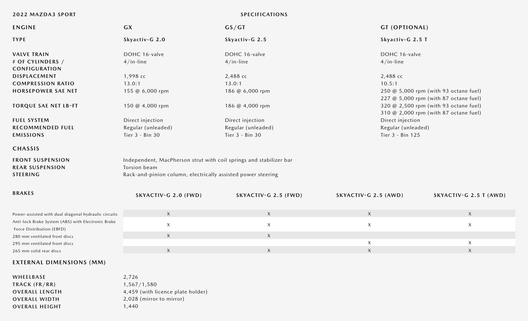|  |  | 2022 MAZDA3 SPORT |  |  |
|--|--|-------------------|--|--|
|--|--|-------------------|--|--|

## **2022 MAZDA3 SPORT SPECIFICATIONS**

| <b>ENGINE</b>                                                                   | <b>GX</b>                                                                          | GS/GT                | <b>GT (OPTIONAL)</b> |                                                                                |  |
|---------------------------------------------------------------------------------|------------------------------------------------------------------------------------|----------------------|----------------------|--------------------------------------------------------------------------------|--|
| <b>TYPE</b>                                                                     | Skyactiv-G 2.0                                                                     | Skyactiv-G 2.5       | Skyactiv-G 2.5 T     |                                                                                |  |
| <b>VALVE TRAIN</b>                                                              | DOHC 16-valve                                                                      | DOHC 16-valve        | DOHC 16-valve        |                                                                                |  |
| # OF CYLINDERS /<br><b>CONFIGURATION</b>                                        | $4/in$ -line                                                                       | $4/in$ -line         | $4/in$ -line         |                                                                                |  |
| DISPLACEMENT                                                                    | 1,998 сс                                                                           | 2,488 сс             | 2,488 cc             |                                                                                |  |
| <b>COMPRESSION RATIO</b>                                                        | 13.0:1                                                                             | 13.0:1               | 10.5:1               |                                                                                |  |
| <b>HORSEPOWER SAE NET</b>                                                       | 155 @ 6,000 rpm                                                                    | 186 @ 6,000 rpm      |                      | 250 @ 5,000 rpm (with 93 octane fuel)<br>227 @ 5,000 rpm (with 87 octane fuel) |  |
| <b>TORQUE SAE NET LB-FT</b>                                                     | 150 @ 4,000 rpm                                                                    | 186 @ 4,000 rpm      |                      | 320 @ 2,500 rpm (with 93 octane fuel)<br>310 @ 2,000 rpm (with 87 octane fuel) |  |
| <b>FUEL SYSTEM</b>                                                              | Direct injection                                                                   | Direct injection     | Direct injection     |                                                                                |  |
| <b>RECOMMENDED FUEL</b>                                                         | Regular (unleaded)                                                                 | Regular (unleaded)   | Regular (unleaded)   |                                                                                |  |
| <b>EMISSIONS</b>                                                                | Tier 3 - Bin 30<br>Tier 3 - Bin 30                                                 |                      | Tier 3 - Bin 125     |                                                                                |  |
| <b>CHASSIS</b>                                                                  |                                                                                    |                      |                      |                                                                                |  |
| <b>FRONT SUSPENSION</b><br><b>REAR SUSPENSION</b>                               | Independent, MacPherson strut with coil springs and stabilizer bar<br>Torsion beam |                      |                      |                                                                                |  |
| <b>STEERING</b><br>Rack-and-pinion column, electrically assisted power steering |                                                                                    |                      |                      |                                                                                |  |
| <b>BRAKES</b>                                                                   | SKYACTIV-G 2.0 (FWD)                                                               | SKYACTIV-G 2.5 (FWD) | SKYACTIV-G 2.5 (AWD) | SKYACTIV-G 2.5 T (AWD)                                                         |  |
| Power-assisted with dual diagonal hydraulic circuits                            | X                                                                                  | X                    | X                    | X                                                                              |  |
| Anti-lock Brake System (ABS) with Electronic Brake<br>Force Distribution (EBFD) | $\mathsf X$                                                                        | $\mathsf X$          | $\mathsf X$          | $\mathsf{X}$                                                                   |  |
| 280 mm ventilated front discs                                                   | X                                                                                  | X                    |                      |                                                                                |  |
| 295 mm ventilated front discs                                                   |                                                                                    |                      | $\mathsf X$          | $\mathsf{X}$                                                                   |  |
| 265 mm solid rear discs                                                         | X                                                                                  | $\mathsf{X}$         | $\mathsf X$          | $\mathsf X$                                                                    |  |

# **EXTERNAL DIMENSIONS (MM)**

**WHEELBASE TRACK (FR/RR) OVERALL LENGTH OVERALL WIDTH OVERALL HEIGHT** 2,726 1,567/1,580 4,459 (with licence plate holder) 2,028 (mirror to mirror) 1,440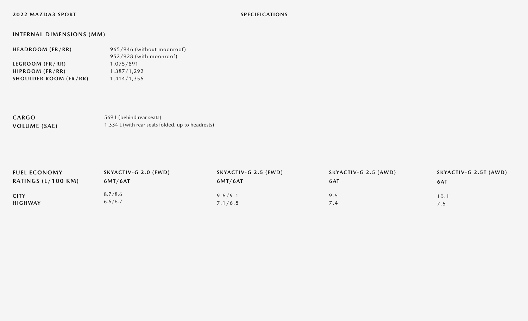# **INTERNAL DIMENSIONS (MM)**

| HEADROOM (FR/RR)             | 965/946 (without moonroof) |
|------------------------------|----------------------------|
|                              | 952/928 (with moonroof)    |
| LEGROOM (FR/RR)              | 1,075/891                  |
| HIPROOM (FR/RR)              | 1,387/1,292                |
| <b>SHOULDER ROOM (FR/RR)</b> | 1,414/1,356                |
|                              |                            |

**CARGO VOLUME (SAE)** 569 L (behind rear seats) 1,334 L (with rear seats folded, up to headrests)

| <b>FUEL ECONOMY</b>          | SKYACTIV-G 2.0 (FWD) | SKYACTIV-G 2.5 (FWD) | SKYACTIV-G 2.5 (AWD) | SKYACTIV-G 2.5T (AWD) |
|------------------------------|----------------------|----------------------|----------------------|-----------------------|
| RATINGS $(L/100 \text{ KM})$ | 6MT/6AT              | 6MT/6AT              | 6AT                  | <b>6AT</b>            |
|                              |                      |                      |                      |                       |
| <b>CITY</b>                  | 8.7/8.6              | 9.6/9.1              | 9.5                  | 10.1                  |
| <b>HIGHWAY</b>               | 6.6/6.7              | 7.1/6.8              |                      | 7.5                   |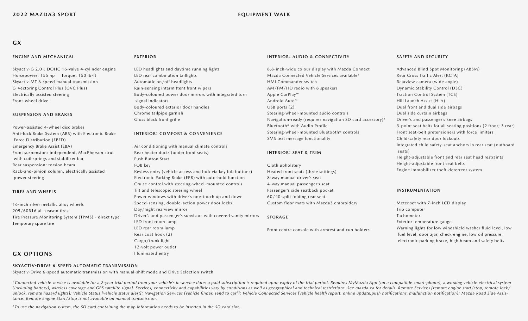## **GX**

#### **ENGINE AND MECHANICAL**

Skyactiv-G 2.0 L DOHC 16-valve 4-cylinder engine Horsepower: 155 hp Torque: 150 lb-ft Skyactiv-MT 6-speed manual transmission G-Vectoring Control Plus (GVC Plus) Electrically assisted steering Front-wheel drive

#### **SUSPENSION AND BRAKES**

Power-assisted 4-wheel disc brakes Anti-lock Brake System (ABS) with Electronic Brake Force Distribution (EBFD) Emergency Brake Assist (EBA) Front suspension: independent, MacPherson strut with coil springs and stabilizer bar Rear suspension: torsion beam Rack-and-pinion column, electrically assisted power steering

#### **TIRES AND WHEELS**

16-inch silver metallic alloy wheels 205/60R16 all-season tires Tire Pressure Monitoring System (TPMS) - direct type Temporary spare tire

#### **EXTERIOR**

LED headlights and daytime running lights LED rear combination taillights Automatic on/off headlights Rain-sensing intermittent front wipers Body-coloured power door mirrors with integrated turn signal indicators Body-coloured exterior door handles Chrome tailpipe garnish Gloss black front grille

#### **INTERIOR: COMFORT & CONVENIENCE**

Air conditioning with manual climate controls Rear heater ducts (under front seats) Push Button Start FOB key

Keyless entry (vehicle access and lock via key fob buttons) Electronic Parking Brake (EPB) with auto-hold function Cruise control with steering-wheel-mounted controls Tilt and telescopic steering wheel Power windows with driver's one-touch up and down Speed-sensing, double-action power door locks Day/night rearview mirror Driver's and passenger's sunvisors with covered vanity mirrors LED front room lamp LED rear room lamp Rear coat hook (2) Cargo/trunk light 12-volt power outlet

#### **INTERIOR: AUDIO & CONNECTIVITY**

8.8-inch-wide colour display with Mazda Connect Mazda Connected Vehicle Services available1 HMI Commander switch AM/FM/HD radio with 8 speakers Apple CarPlay™ Android Auto™ USB ports (2) Steering-wheel-mounted audio controls Navigation-ready (requires navigation SD card accessory)2 Bluetooth® with Audio Profile Steering-wheel-mounted Bluetooth® controls SMS text message functionality

#### **INTERIOR: SEAT & TRIM**

Cloth upholstery Heated front seats (three settings) 8-way manual driver's seat 4-way manual passenger's seat Passenger's side seatback pocket 60/40-split folding rear seat Custom floor mats with Mazda3 embroidery

#### **STORAGE**

Front centre console with armrest and cup holders

#### **SAFETY AND SECURITY**

Advanced Blind Spot Monitoring (ABSM) Rear Cross Traffic Alert (RCTA) Rearview camera (wide angle) Dynamic Stability Control (DSC) Traction Control System (TCS) Hill Launch Assist (HLA) Dual front and dual side airbags Dual side curtain airbags Driver's and passenger's knee airbags 3-point seat belts for all seating positions (2 front; 3 rear) Front seat-belt pretensioners with force limiters Child-safety rear door lockouts Integrated child safety-seat anchors in rear seat (outboard seats) Height-adjustable front and rear seat head restraints Height-adjustable front seat belts Engine immobilizer theft-deterrent system

#### **INSTRUMENTATION**

Meter set with 7-inch LCD display Trip computer Tachometer Exterior temperature gauge Warning lights for low windshield washer fluid level, low fuel level, door ajar, check engine, low oil pressure, electronic parking brake, high beam and safety belts

### **GX OPTIONS**

#### **SKYACTIV-DRIVE 6-SPEED AUTOMATIC TRANSMISSION**

Skyactiv-Drive 6-speed automatic transmission with manual-shift mode and Drive Selection switch

<sup>1</sup> Connected vehicle service is available for a 2-year trial period from your vehicle's in-service date; a paid subscription is required upon expiry of the trial period. Requires MyMazda App (on a compatible smart-phone), (including battery), wireless coverage and GPS satellite signal. Services, connectivity and capabilities vary by conditions as well as geographical and technical restrictions. See mazda.ca for details. Remote Services [rem unlock, remote hazard lights]; Vehicle Status [vehicle status alert]; Navigation Services [vehicle finder, send to car<sup>2</sup>]; Vehicle Connected Services [vehicle health report, online update, push notifications, malfunction *tance. Remote Engine Start/Stop is not available on manual transmission.*

*2 To use the navigation system, the SD card containing the map information needs to be inserted in the SD card slot.*

Illuminated entry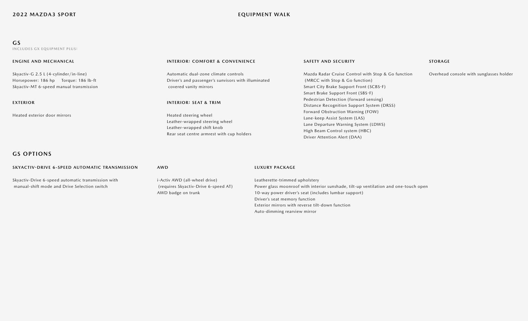## **GS**

**INCLUDES GX EQUIPMENT PLUS:**

| <b>ENGINE AND MECHANICAL</b>                                                                                             | <b>INTERIOR: COMFORT &amp; CONVENIENCE</b>                                                                                                                             | <b>SAFETY AND SECURITY</b>                                                                                                                                                                                                                                           | <b>STORAGE</b>                          |
|--------------------------------------------------------------------------------------------------------------------------|------------------------------------------------------------------------------------------------------------------------------------------------------------------------|----------------------------------------------------------------------------------------------------------------------------------------------------------------------------------------------------------------------------------------------------------------------|-----------------------------------------|
| Skyactiv-G 2.5 L (4-cylinder/in-line)<br>Horsepower: 186 hp Torque: 186 lb-ft<br>Skyactiv-MT 6-speed manual transmission | Automatic dual-zone climate controls<br>Driver's and passenger's sunvisors with illuminated<br>covered vanity mirrors                                                  | Mazda Radar Cruise Control with Stop & Go function<br>(MRCC with Stop & Go function)<br>Smart City Brake Support Front (SCBS-F)<br>Smart Brake Support Front (SBS-F)                                                                                                 | Overhead console with sunglasses holder |
| <b>EXTERIOR</b><br>Heated exterior door mirrors                                                                          | <b>INTERIOR: SEAT &amp; TRIM</b><br>Heated steering wheel<br>Leather-wrapped steering wheel<br>Leather-wrapped shift knob<br>Rear seat centre armrest with cup holders | Pedestrian Detection (forward sensing)<br>Distance Recognition Support System (DRSS)<br>Forward Obstruction Warning (FOW)<br>Lane-keep Assist System (LAS)<br>Lane Departure Warning System (LDWS)<br>High Beam Control system (HBC)<br>Driver Attention Alert (DAA) |                                         |

Auto-dimming rearview mirror

# **GS OPTIONS**

| SKYACTIV-DRIVE 6-SPEED AUTOMATIC TRANSMISSION                                                      | AWD                                                                                         | LUXURY PACKAGE                                                                                                                                                                |
|----------------------------------------------------------------------------------------------------|---------------------------------------------------------------------------------------------|-------------------------------------------------------------------------------------------------------------------------------------------------------------------------------|
| Skyactiv-Drive 6-speed automatic transmission with<br>manual-shift mode and Drive Selection switch | i-Activ AWD (all-wheel drive)<br>(requires Skyactiv-Drive 6-speed AT)<br>AWD badge on trunk | Leatherette-trimmed upholstery<br>Power glass moonroof with interior sunshade, tilt-up ventilation and one-touch open<br>10-way power driver's seat (includes lumbar support) |
|                                                                                                    |                                                                                             | Driver's seat memory function<br>Exterior mirrors with reverse tilt-down function                                                                                             |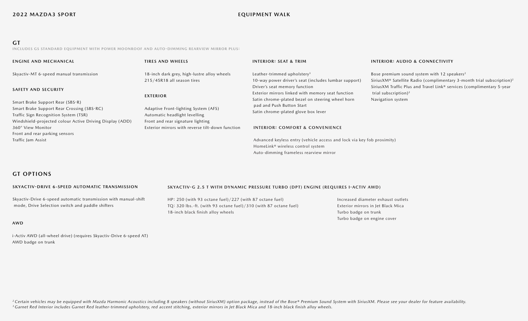## **GT**

**INCLUDES GS STANDARD EQUIPMENT WITH POWER MOONROOF AND AUTO-DIMMING REARVIEW MIRROR PLUS:**

| <b>ENGINE AND MECHANICAL</b>                                                                                            | <b>TIRES AND WHEELS</b>                                                               | <b>INTERIOR: SEAT &amp; TRIM</b>                                                                                        | <b>INTERIOR: AUDIO &amp; CONNECTIVITY</b>                                                                                                    |
|-------------------------------------------------------------------------------------------------------------------------|---------------------------------------------------------------------------------------|-------------------------------------------------------------------------------------------------------------------------|----------------------------------------------------------------------------------------------------------------------------------------------|
| Skyactiv-MT 6-speed manual transmission                                                                                 | 18-inch dark grey, high-lustre alloy wheels<br>215/45R18 all season tires             | Leather-trimmed upholstery <sup>3</sup><br>10-way power driver's seat (includes lumbar support)                         | Bose premium sound system with 12 speakers <sup>2</sup><br>SiriusXM® Satellite Radio (complimentary 3-month trial subscription) <sup>2</sup> |
| <b>SAFETY AND SECURITY</b>                                                                                              | <b>EXTERIOR</b>                                                                       | Driver's seat memory function<br>Exterior mirrors linked with memory seat function                                      | SiriusXM Traffic Plus and Travel Link® services (complimentary 5-year<br>trial subscription) <sup>2</sup><br>Navigation system               |
| Smart Brake Support Rear (SBS-R)<br>Smart Brake Support Rear Crossing (SBS-RC)<br>Traffic Sign Recognition System (TSR) | Adaptive Front-lighting System (AFS)<br>Automatic headlight levelling                 | Satin chrome-plated bezel on steering wheel horn<br>pad and Push Button Start<br>Satin chrome-plated glove box lever    |                                                                                                                                              |
| Windshield-projected colour Active Driving Display (ADD)<br>360° View Monitor<br>Front and rear parking sensors         | Front and rear signature lighting<br>Exterior mirrors with reverse tilt-down function | <b>INTERIOR: COMFORT &amp; CONVENIENCE</b>                                                                              |                                                                                                                                              |
| Traffic Jam Assist                                                                                                      |                                                                                       | Advanced keyless entry (vehicle access and lock via key fob proximity)<br>HomeLink <sup>®</sup> wireless control system |                                                                                                                                              |
|                                                                                                                         |                                                                                       | Auto-dimming frameless rearview mirror                                                                                  |                                                                                                                                              |

# **GT OPTIONS**

| <b>SKYACTIV-DRIVE 6-SPEED AUTOMATIC TRANSMISSION</b>            | SKYACTIV-G 2.5 T WITH DYNAMIC PRESSURE TURBO (DPT) ENGINE (REQUIRES I-ACTIV AWD) |                         |
|-----------------------------------------------------------------|----------------------------------------------------------------------------------|-------------------------|
| Skyactiv-Drive 6-speed automatic transmission with manual-shift | HP: 250 (with 93 octane fuel)/227 (with 87 octane fuel)                          | Increased diameter e:   |
| mode, Drive Selection switch and paddle shifters                | TQ: 320 lbs.-ft. (with 93 octane fuel)/310 (with 87 octane fuel)                 | Exterior mirrors in Jet |
|                                                                 | 18-inch black finish alloy wheels                                                | Turbo badge on trunk    |

#### **AWD**

i-Activ AWD (all-wheel drive) (requires Skyactiv-Drive 6-speed AT) AWD badge on trunk

eter exhaust outlets in Jet Black Mica Turbo badge on engine cover